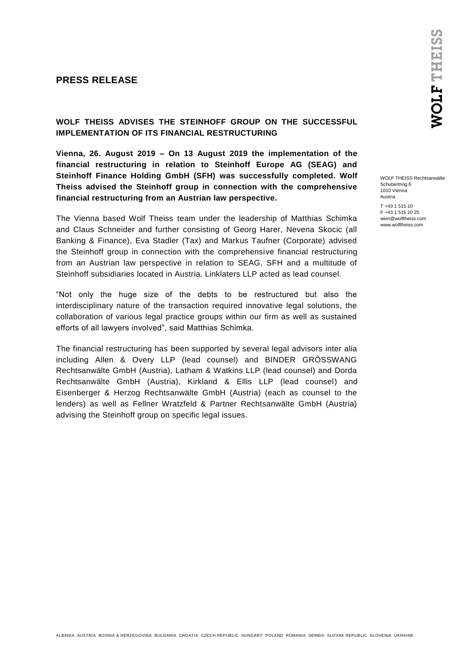## **PRESS RELEASE**

**WOLF THEISS ADVISES THE STEINHOFF GROUP ON THE SUCCESSFUL IMPLEMENTATION OF ITS FINANCIAL RESTRUCTURING** 

**Vienna, 26. August 2019 – On 13 August 2019 the implementation of the financial restructuring in relation to Steinhoff Europe AG (SEAG) and Steinhoff Finance Holding GmbH (SFH) was successfully completed. Wolf Theiss advised the Steinhoff group in connection with the comprehensive financial restructuring from an Austrian law perspective.**

The Vienna based Wolf Theiss team under the leadership of Matthias Schimka and Claus Schneider and further consisting of Georg Harer, Nevena Skocic (all Banking & Finance), Eva Stadler (Tax) and Markus Taufner (Corporate) advised the Steinhoff group in connection with the comprehensive financial restructuring from an Austrian law perspective in relation to SEAG, SFH and a multitude of Steinhoff subsidiaries located in Austria. Linklaters LLP acted as lead counsel.

"Not only the huge size of the debts to be restructured but also the interdisciplinary nature of the transaction required innovative legal solutions, the collaboration of various legal practice groups within our firm as well as sustained efforts of all lawyers involved", said Matthias Schimka.

The financial restructuring has been supported by several legal advisors inter alia including Allen & Overy LLP (lead counsel) and BINDER GRÖSSWANG Rechtsanwälte GmbH (Austria), Latham & Watkins LLP (lead counsel) and Dorda Rechtsanwälte GmbH (Austria), Kirkland & Ellis LLP (lead counsel) and Eisenberger & Herzog Rechtsanwälte GmbH (Austria) (each as counsel to the lenders) as well as Fellner Wratzfeld & Partner Rechtsanwälte GmbH (Austria) advising the Steinhoff group on specific legal issues.

WOLF THEISS Rechtsanwälte Schubertring 6 1010 Vienna Austria T +43 1 515 10 F +43 1 515 10 25 wien@wolftheiss.com www.wolftheiss.com